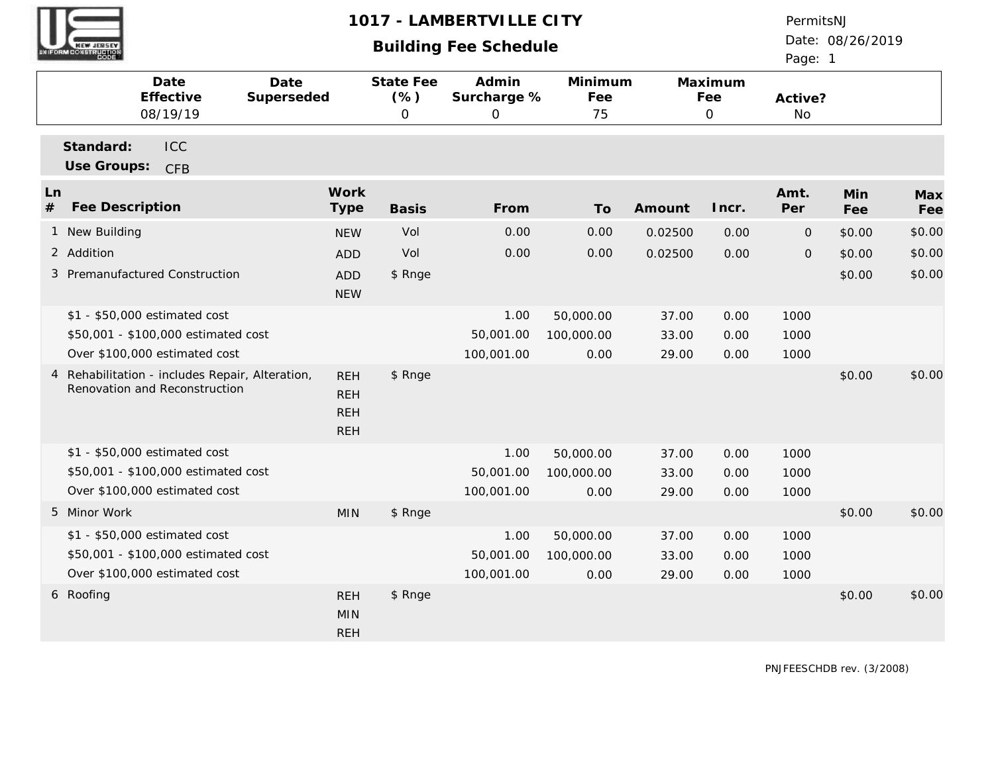# **Building Fee Schedule**

Date: 08/26/2019 PermitsNJ

Page: 1

|                                      | Date<br>Effective<br>08/19/19                                                                         | Date<br>Superseded |                                                      | State Fee<br>(% )<br>$\mathbf{O}$ | Admin<br>Surcharge %<br>$\mathbf{O}$ | Minimum<br>Fee<br>75            |                         | Maximum<br>Fee<br>$\mathcal{O}$ | Active?<br>No        |                  |                  |
|--------------------------------------|-------------------------------------------------------------------------------------------------------|--------------------|------------------------------------------------------|-----------------------------------|--------------------------------------|---------------------------------|-------------------------|---------------------------------|----------------------|------------------|------------------|
| Standard:<br>Use Groups:             | ICC<br><b>CFB</b>                                                                                     |                    |                                                      |                                   |                                      |                                 |                         |                                 |                      |                  |                  |
| Ln<br>$\#$<br><b>Fee Description</b> |                                                                                                       |                    | Work<br>Type                                         | <b>Basis</b>                      | From                                 | To                              | Amount                  | Incr.                           | Amt.<br>Per          | Min<br>Fee       | Max<br>Fee       |
| 1 New Building                       |                                                                                                       |                    | <b>NEW</b>                                           | Vol                               | 0.00                                 | 0.00                            | 0.02500                 | 0.00                            | $\overline{0}$       | \$0.00           | \$0.00           |
| 2 Addition                           | 3 Premanufactured Construction                                                                        |                    | <b>ADD</b><br><b>ADD</b><br><b>NEW</b>               | Vol<br>\$ Rnge                    | 0.00                                 | 0.00                            | 0.02500                 | 0.00                            | $\mathbf{O}$         | \$0.00<br>\$0.00 | \$0.00<br>\$0.00 |
|                                      | \$1 - \$50,000 estimated cost<br>\$50,001 - \$100,000 estimated cost<br>Over \$100,000 estimated cost |                    |                                                      |                                   | 1.00<br>50,001.00<br>100,001.00      | 50,000.00<br>100,000.00<br>0.00 | 37.00<br>33.00<br>29.00 | 0.00<br>0.00<br>0.00            | 1000<br>1000<br>1000 |                  |                  |
|                                      | 4 Rehabilitation - includes Repair, Alteration,<br>Renovation and Reconstruction                      |                    | <b>REH</b><br><b>REH</b><br><b>REH</b><br><b>REH</b> | \$ Rnge                           |                                      |                                 |                         |                                 |                      | \$0.00           | \$0.00           |
|                                      | \$1 - \$50,000 estimated cost<br>\$50,001 - \$100,000 estimated cost<br>Over \$100,000 estimated cost |                    |                                                      |                                   | 1.00<br>50,001.00<br>100,001.00      | 50,000.00<br>100,000.00<br>0.00 | 37.00<br>33.00<br>29.00 | 0.00<br>0.00<br>0.00            | 1000<br>1000<br>1000 |                  |                  |
| 5 Minor Work                         |                                                                                                       |                    | <b>MIN</b>                                           | \$ Rnge                           |                                      |                                 |                         |                                 |                      | \$0.00           | \$0.00           |
|                                      | \$1 - \$50,000 estimated cost<br>\$50,001 - \$100,000 estimated cost<br>Over \$100,000 estimated cost |                    |                                                      |                                   | 1.00<br>50,001.00<br>100,001.00      | 50,000.00<br>100,000.00<br>0.00 | 37.00<br>33.00<br>29.00 | 0.00<br>0.00<br>0.00            | 1000<br>1000<br>1000 |                  |                  |
| 6 Roofing                            |                                                                                                       |                    | <b>REH</b><br><b>MIN</b><br><b>REH</b>               | \$ Rnge                           |                                      |                                 |                         |                                 |                      | \$0.00           | \$0.00           |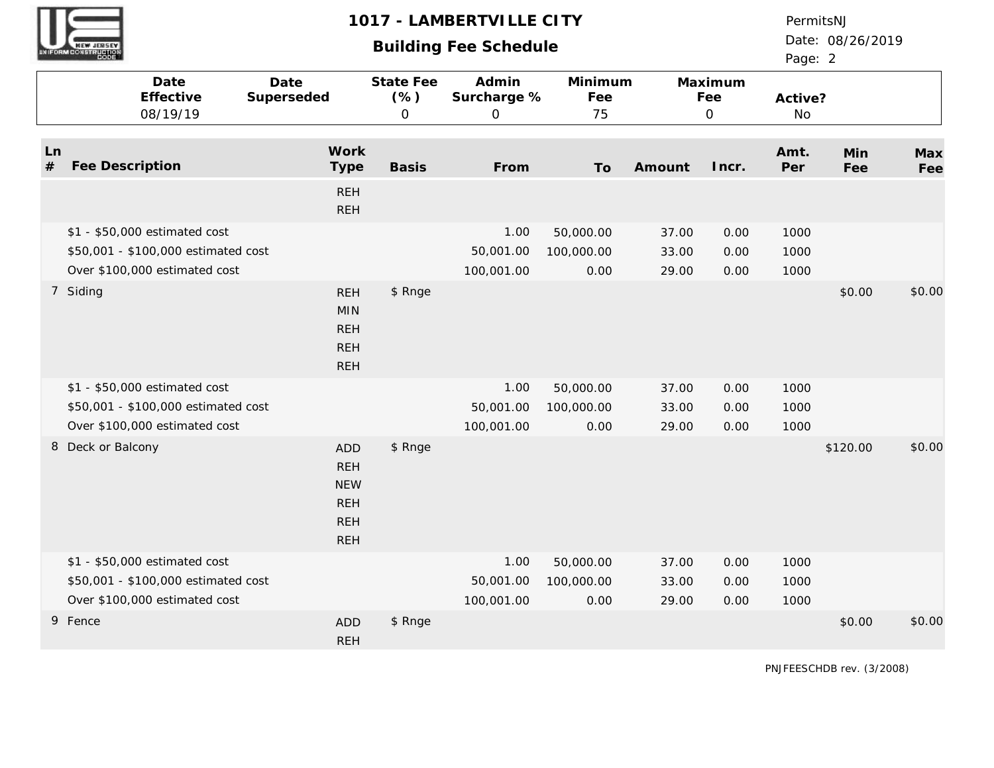# **Building Fee Schedule**

PermitsNJ

Date: 08/26/2019 Page: 2

|         |                   | Date<br>Effective<br>08/19/19       | Date<br>Superseded                                                               | State Fee<br>$(\% )$<br>$\mathsf O$ | Admin<br>Surcharge %<br>$\overline{O}$ | Minimum<br>Fee<br>75 |        | Maximum<br>Fee<br>$\mathbf 0$ | Active?<br>No |            |            |
|---------|-------------------|-------------------------------------|----------------------------------------------------------------------------------|-------------------------------------|----------------------------------------|----------------------|--------|-------------------------------|---------------|------------|------------|
| Ln<br># | Fee Description   |                                     | Work<br><b>Type</b><br><b>REH</b>                                                | <b>Basis</b>                        | From                                   | To                   | Amount | Incr.                         | Amt.<br>Per   | Min<br>Fee | Max<br>Fee |
|         |                   |                                     | <b>REH</b>                                                                       |                                     |                                        |                      |        |                               |               |            |            |
|         |                   | \$1 - \$50,000 estimated cost       |                                                                                  |                                     | 1.00                                   | 50,000.00            | 37.00  | 0.00                          | 1000          |            |            |
|         |                   | \$50,001 - \$100,000 estimated cost |                                                                                  |                                     | 50,001.00                              | 100,000.00           | 33.00  | 0.00                          | 1000          |            |            |
|         |                   | Over \$100,000 estimated cost       |                                                                                  |                                     | 100,001.00                             | 0.00                 | 29.00  | 0.00                          | 1000          |            |            |
|         | 7 Siding          |                                     | <b>REH</b><br><b>MIN</b><br><b>REH</b><br><b>REH</b><br><b>REH</b>               | \$ Rnge                             |                                        |                      |        |                               |               | \$0.00     | \$0.00     |
|         |                   | \$1 - \$50,000 estimated cost       |                                                                                  |                                     | 1.00                                   | 50,000.00            | 37.00  | 0.00                          | 1000          |            |            |
|         |                   | \$50,001 - \$100,000 estimated cost |                                                                                  |                                     | 50,001.00                              | 100,000.00           | 33.00  | 0.00                          | 1000          |            |            |
|         |                   | Over \$100,000 estimated cost       |                                                                                  |                                     | 100,001.00                             | 0.00                 | 29.00  | 0.00                          | 1000          |            |            |
|         | 8 Deck or Balcony |                                     | <b>ADD</b><br><b>REH</b><br><b>NEW</b><br><b>REH</b><br><b>REH</b><br><b>REH</b> | \$ Rnge                             |                                        |                      |        |                               |               | \$120.00   | \$0.00     |
|         |                   | \$1 - \$50,000 estimated cost       |                                                                                  |                                     | 1.00                                   | 50,000.00            | 37.00  | 0.00                          | 1000          |            |            |
|         |                   | \$50,001 - \$100,000 estimated cost |                                                                                  |                                     | 50,001.00                              | 100,000.00           | 33.00  | 0.00                          | 1000          |            |            |
|         |                   | Over \$100,000 estimated cost       |                                                                                  |                                     | 100,001.00                             | 0.00                 | 29.00  | 0.00                          | 1000          |            |            |
|         | 9 Fence           |                                     | <b>ADD</b><br><b>REH</b>                                                         | \$ Rnge                             |                                        |                      |        |                               |               | \$0.00     | \$0.00     |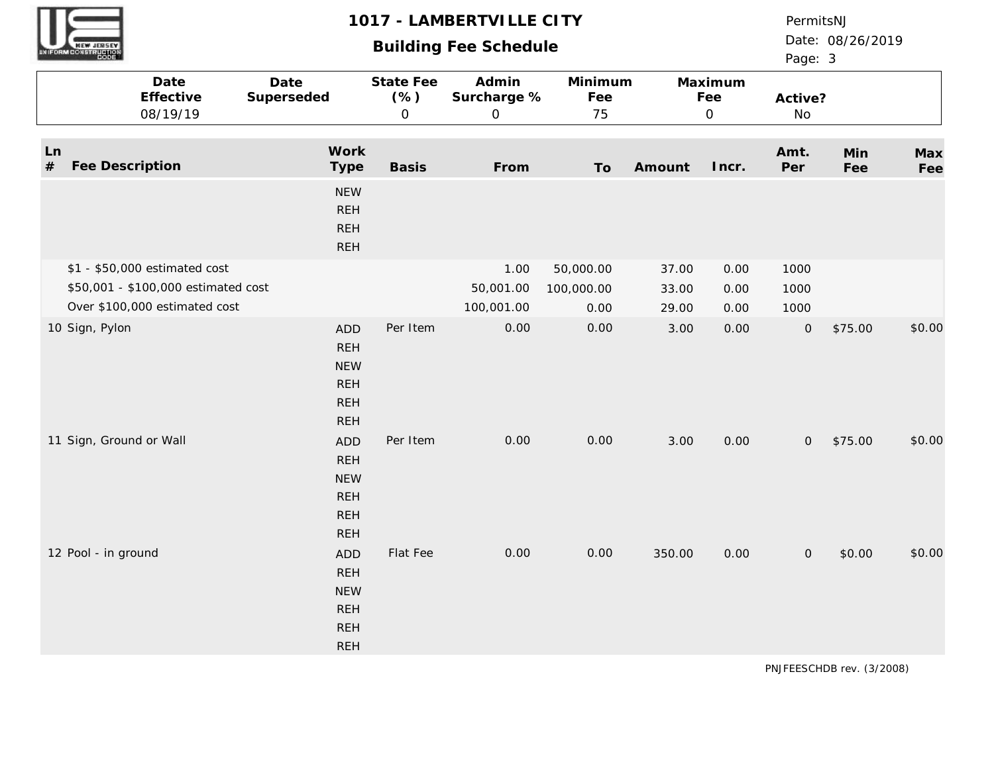# **Building Fee Schedule**

PermitsNJ

Date: 08/26/2019 Page: 3

|      |                         | Date<br>Effective<br>08/19/19       | Date<br>Superseded                                                               | State Fee<br>$(\% )$<br>$\mathsf O$ | Admin<br>Surcharge %<br>$\overline{0}$ | Minimum<br>Fee<br>75 |        | Maximum<br>Fee<br>$\mathsf O$ | Active?<br>No |            |            |
|------|-------------------------|-------------------------------------|----------------------------------------------------------------------------------|-------------------------------------|----------------------------------------|----------------------|--------|-------------------------------|---------------|------------|------------|
| $\#$ | Ln<br>Fee Description   |                                     | Work<br>Type                                                                     | <b>Basis</b>                        | From                                   | To                   | Amount | Incr.                         | Amt.<br>Per   | Min<br>Fee | Max<br>Fee |
|      |                         |                                     | <b>NEW</b><br><b>REH</b><br><b>REH</b><br><b>REH</b>                             |                                     |                                        |                      |        |                               |               |            |            |
|      |                         | \$1 - \$50,000 estimated cost       |                                                                                  |                                     | 1.00                                   | 50,000.00            | 37.00  | 0.00                          | 1000          |            |            |
|      |                         | \$50,001 - \$100,000 estimated cost |                                                                                  |                                     | 50,001.00                              | 100,000.00           | 33.00  | 0.00                          | 1000          |            |            |
|      |                         | Over \$100,000 estimated cost       |                                                                                  |                                     | 100,001.00                             | 0.00                 | 29.00  | 0.00                          | 1000          |            |            |
|      | 10 Sign, Pylon          |                                     | <b>ADD</b><br><b>REH</b><br><b>NEW</b><br><b>REH</b><br><b>REH</b><br><b>REH</b> | Per Item                            | 0.00                                   | 0.00                 | 3.00   | 0.00                          | ${\mathsf O}$ | \$75.00    | \$0.00     |
|      | 11 Sign, Ground or Wall |                                     | ADD<br><b>REH</b><br><b>NEW</b><br><b>REH</b><br><b>REH</b><br><b>REH</b>        | Per Item                            | 0.00                                   | 0.00                 | 3.00   | 0.00                          | $\mathbf{O}$  | \$75.00    | \$0.00     |
|      | 12 Pool - in ground     |                                     | <b>ADD</b><br><b>REH</b><br><b>NEW</b><br><b>REH</b><br><b>REH</b><br><b>REH</b> | Flat Fee                            | 0.00                                   | 0.00                 | 350.00 | 0.00                          | $\mathsf O$   | \$0.00     | \$0.00     |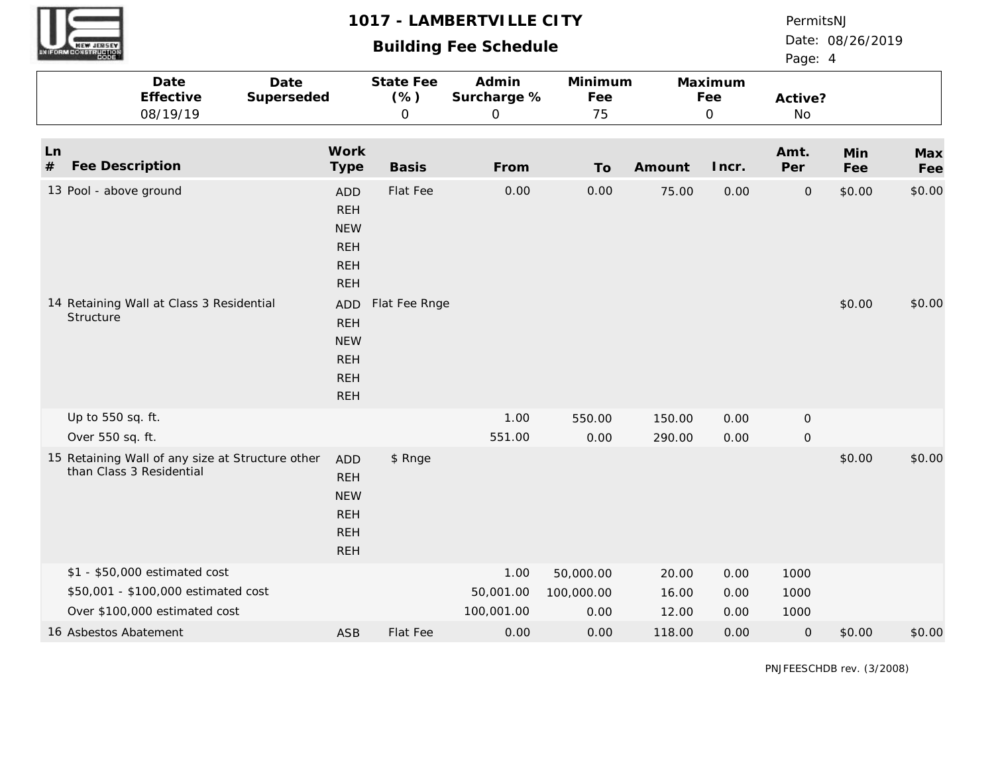|            | <b>CONSTRUCTION</b>                                                             |                                                                                                                                                        |                                         | 1017 - LAMBERTVILLE CITY<br><b>Building Fee Schedule</b> |                      |                  |                                | PermitsNJ<br>Page: 4        | Date: 08/26/2019 |                  |
|------------|---------------------------------------------------------------------------------|--------------------------------------------------------------------------------------------------------------------------------------------------------|-----------------------------------------|----------------------------------------------------------|----------------------|------------------|--------------------------------|-----------------------------|------------------|------------------|
|            | Date<br>Effective<br>08/19/19                                                   | Date<br>Superseded                                                                                                                                     | <b>State Fee</b><br>(% )<br>$\mathsf O$ | Admin<br>Surcharge %<br>$\mathsf{O}\xspace$              | Minimum<br>Fee<br>75 |                  | Maximum<br>Fee<br>$\mathbf{O}$ | Active?<br>No               |                  |                  |
| Ln<br>$\#$ | Fee Description                                                                 | Work<br>Type                                                                                                                                           | <b>Basis</b>                            | From                                                     | To                   | Amount           | Incr.                          | Amt.<br>Per                 | Min<br>Fee       | Max<br>Fee       |
|            | 13 Pool - above ground<br>14 Retaining Wall at Class 3 Residential<br>Structure | <b>ADD</b><br><b>REH</b><br><b>NEW</b><br><b>REH</b><br><b>REH</b><br><b>REH</b><br><b>ADD</b><br><b>REH</b><br><b>NEW</b><br><b>REH</b><br><b>REH</b> | Flat Fee<br>Flat Fee Rnge               | 0.00                                                     | 0.00                 | 75.00            | 0.00                           | $\mathsf O$                 | \$0.00<br>\$0.00 | \$0.00<br>\$0.00 |
|            |                                                                                 | <b>REH</b>                                                                                                                                             |                                         |                                                          |                      |                  |                                |                             |                  |                  |
|            | Up to 550 sq. ft.<br>Over 550 sq. ft.                                           |                                                                                                                                                        |                                         | 1.00<br>551.00                                           | 550.00<br>0.00       | 150.00<br>290.00 | 0.00<br>0.00                   | $\mathsf O$<br>$\mathbf{O}$ |                  |                  |
|            | 15 Retaining Wall of any size at Structure other<br>than Class 3 Residential    | <b>ADD</b><br><b>REH</b><br><b>NEW</b><br><b>REH</b><br><b>REH</b><br><b>REH</b>                                                                       | \$ Rnge                                 |                                                          |                      |                  |                                |                             | \$0.00           | \$0.00           |
|            | \$1 - \$50,000 estimated cost                                                   |                                                                                                                                                        |                                         | 1.00                                                     | 50,000.00            | 20.00            | 0.00                           | 1000                        |                  |                  |
|            | \$50,001 - \$100,000 estimated cost<br>Over \$100,000 estimated cost            |                                                                                                                                                        |                                         | 50,001.00<br>100,001.00                                  | 100,000.00<br>0.00   | 16.00<br>12.00   | 0.00<br>0.00                   | 1000<br>1000                |                  |                  |
|            | 16 Asbestos Abatement                                                           | <b>ASB</b>                                                                                                                                             | Flat Fee                                | 0.00                                                     | 0.00                 | 118.00           | 0.00                           | $\mathbf{O}$                | \$0.00           | \$0.00           |

**UNI**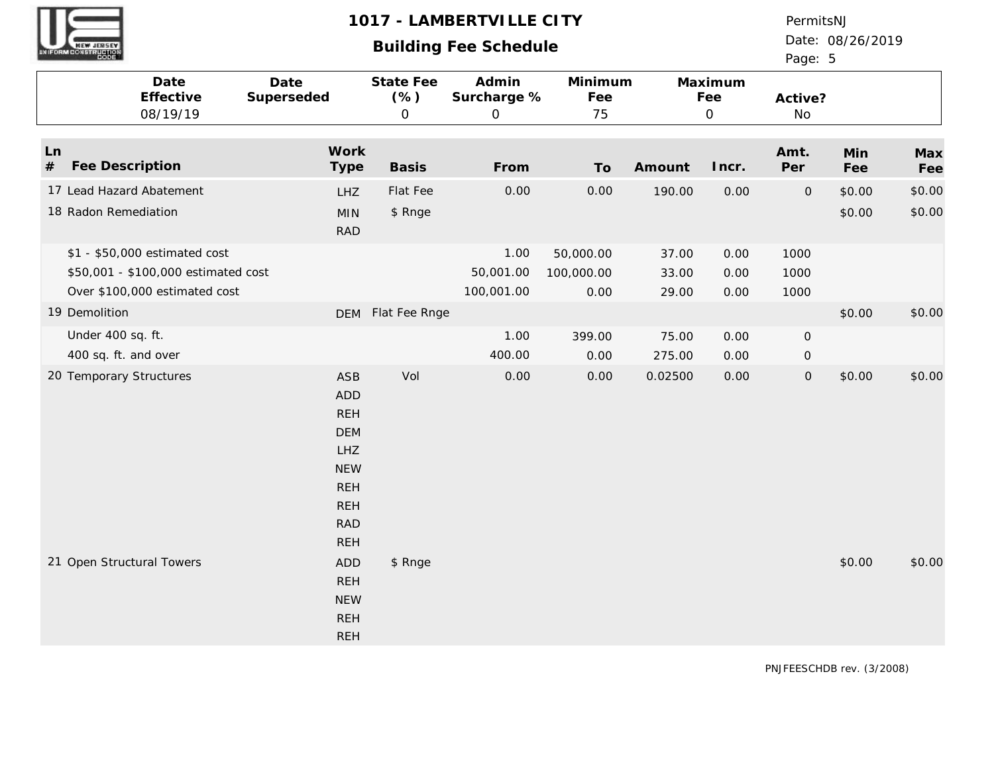# **Building Fee Schedule**

PermitsNJ

Date: 08/26/2019 Page: 5

|                                                            | Date<br>Effective<br>08/19/19                                                                         | Date<br>Superseded                                                                                                                       | State Fee<br>$(\% )$<br>$\mathsf O$ | Admin<br>Surcharge %<br>$\mathbf{O}$ | Minimum<br>Fee<br>75            |                         | Maximum<br>Fee<br>$\mathsf O$ | Active?<br>No                              |                  |                  |
|------------------------------------------------------------|-------------------------------------------------------------------------------------------------------|------------------------------------------------------------------------------------------------------------------------------------------|-------------------------------------|--------------------------------------|---------------------------------|-------------------------|-------------------------------|--------------------------------------------|------------------|------------------|
| Ln<br>Fee Description<br>$\#$                              |                                                                                                       | Work<br><b>Type</b>                                                                                                                      | <b>Basis</b>                        | From                                 | To                              | Amount                  | Incr.                         | Amt.<br>Per                                | Min<br>Fee       | Max<br>Fee       |
| 17 Lead Hazard Abatement<br>18 Radon Remediation           |                                                                                                       | <b>LHZ</b><br><b>MIN</b><br><b>RAD</b>                                                                                                   | Flat Fee<br>\$ Rnge                 | 0.00                                 | 0.00                            | 190.00                  | 0.00                          | $\mathbf{O}$                               | \$0.00<br>\$0.00 | \$0.00<br>\$0.00 |
|                                                            | \$1 - \$50,000 estimated cost<br>\$50,001 - \$100,000 estimated cost<br>Over \$100,000 estimated cost |                                                                                                                                          |                                     | 1.00<br>50,001.00<br>100,001.00      | 50,000.00<br>100,000.00<br>0.00 | 37.00<br>33.00<br>29.00 | 0.00<br>0.00<br>0.00          | 1000<br>1000<br>1000                       |                  |                  |
| 19 Demolition<br>Under 400 sq. ft.<br>400 sq. ft. and over |                                                                                                       |                                                                                                                                          | DEM Flat Fee Rnge                   | $1.00$<br>400.00                     | 399.00<br>0.00                  | 75.00<br>275.00         | 0.00<br>0.00                  | $\mathsf{O}\xspace$<br>$\mathsf{O}\xspace$ | \$0.00           | \$0.00           |
| 20 Temporary Structures                                    |                                                                                                       | <b>ASB</b><br><b>ADD</b><br><b>REH</b><br><b>DEM</b><br><b>LHZ</b><br><b>NEW</b><br><b>REH</b><br><b>REH</b><br><b>RAD</b><br><b>REH</b> | Vol                                 | 0.00                                 | 0.00                            | 0.02500                 | 0.00                          | $\mathsf O$                                | \$0.00           | \$0.00           |
| 21 Open Structural Towers                                  |                                                                                                       | <b>ADD</b><br><b>REH</b><br><b>NEW</b><br><b>REH</b><br><b>REH</b>                                                                       | \$ Rnge                             |                                      |                                 |                         |                               |                                            | \$0.00           | \$0.00           |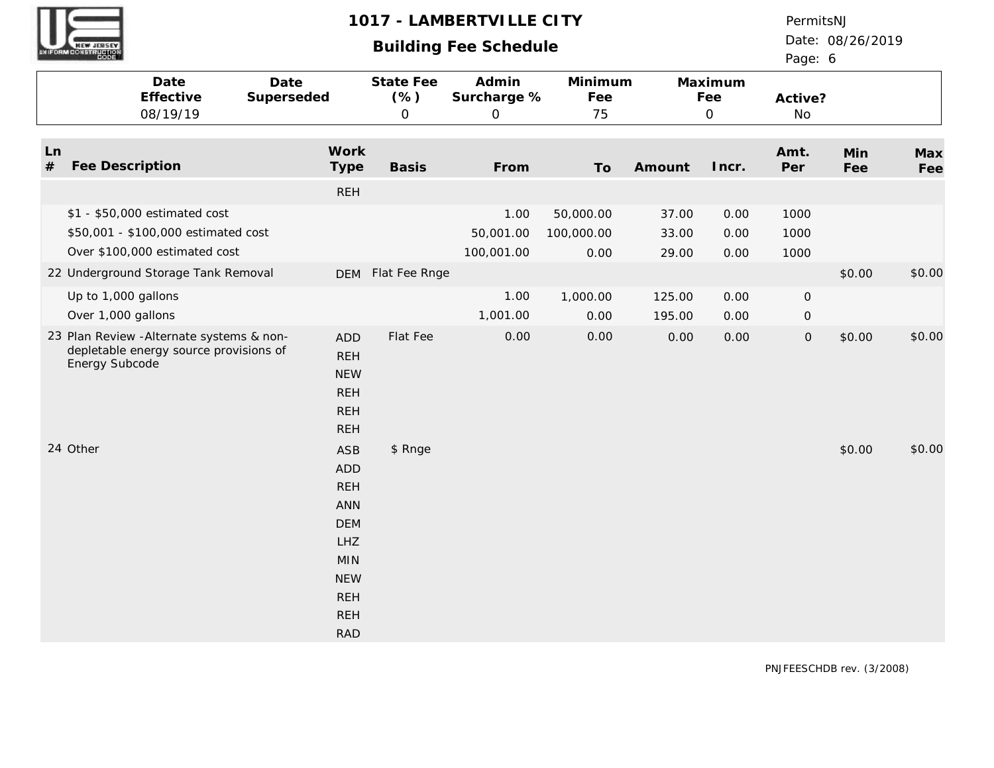# **Building Fee Schedule**

PermitsNJ

Date: 08/26/2019

| UNIFORM CONSTRUCTION         |                                                                                                       |                    |                                                                                                                                                 |                                     | Dununiy Loo Johouuc                 |                                 |                         |                               | Page: 6              |            |            |
|------------------------------|-------------------------------------------------------------------------------------------------------|--------------------|-------------------------------------------------------------------------------------------------------------------------------------------------|-------------------------------------|-------------------------------------|---------------------------------|-------------------------|-------------------------------|----------------------|------------|------------|
|                              | Date<br>Effective<br>08/19/19                                                                         | Date<br>Superseded |                                                                                                                                                 | State Fee<br>$(\% )$<br>$\mathsf O$ | Admin<br>Surcharge %<br>$\mathbf 0$ | Minimum<br>Fee<br>75            |                         | Maximum<br>Fee<br>$\mathbf 0$ | Active?<br>No        |            |            |
| Ln<br>$#$<br>Fee Description |                                                                                                       |                    | Work<br>Type                                                                                                                                    | <b>Basis</b>                        | From                                | To                              | Amount                  | Incr.                         | Amt.<br>Per          | Min<br>Fee | Max<br>Fee |
|                              |                                                                                                       |                    | <b>REH</b>                                                                                                                                      |                                     |                                     |                                 |                         |                               |                      |            |            |
|                              | \$1 - \$50,000 estimated cost<br>\$50,001 - \$100,000 estimated cost<br>Over \$100,000 estimated cost |                    |                                                                                                                                                 |                                     | 1.00<br>50,001.00<br>100,001.00     | 50,000.00<br>100,000.00<br>0.00 | 37.00<br>33.00<br>29.00 | 0.00<br>0.00<br>0.00          | 1000<br>1000<br>1000 |            |            |
|                              | 22 Underground Storage Tank Removal                                                                   |                    |                                                                                                                                                 | DEM Flat Fee Rnge                   |                                     |                                 |                         |                               |                      | \$0.00     | \$0.00     |
| Up to 1,000 gallons          |                                                                                                       |                    |                                                                                                                                                 |                                     | 1.00                                | 1,000.00                        | 125.00                  | 0.00                          | $\mathsf O$          |            |            |
| Over 1,000 gallons           |                                                                                                       |                    |                                                                                                                                                 |                                     | 1,001.00                            | 0.00                            | 195.00                  | 0.00                          | $\overline{O}$       |            |            |
| Energy Subcode               | 23 Plan Review - Alternate systems & non-<br>depletable energy source provisions of                   |                    | <b>ADD</b><br><b>REH</b><br><b>NEW</b><br><b>REH</b><br><b>REH</b><br><b>REH</b>                                                                | Flat Fee                            | 0.00                                | 0.00                            | 0.00                    | 0.00                          | $\mathsf{O}\xspace$  | \$0.00     | \$0.00     |
| 24 Other                     |                                                                                                       |                    | <b>ASB</b><br><b>ADD</b><br><b>REH</b><br><b>ANN</b><br><b>DEM</b><br>LHZ<br><b>MIN</b><br><b>NEW</b><br><b>REH</b><br><b>REH</b><br><b>RAD</b> | \$ Rnge                             |                                     |                                 |                         |                               |                      | \$0.00     | \$0.00     |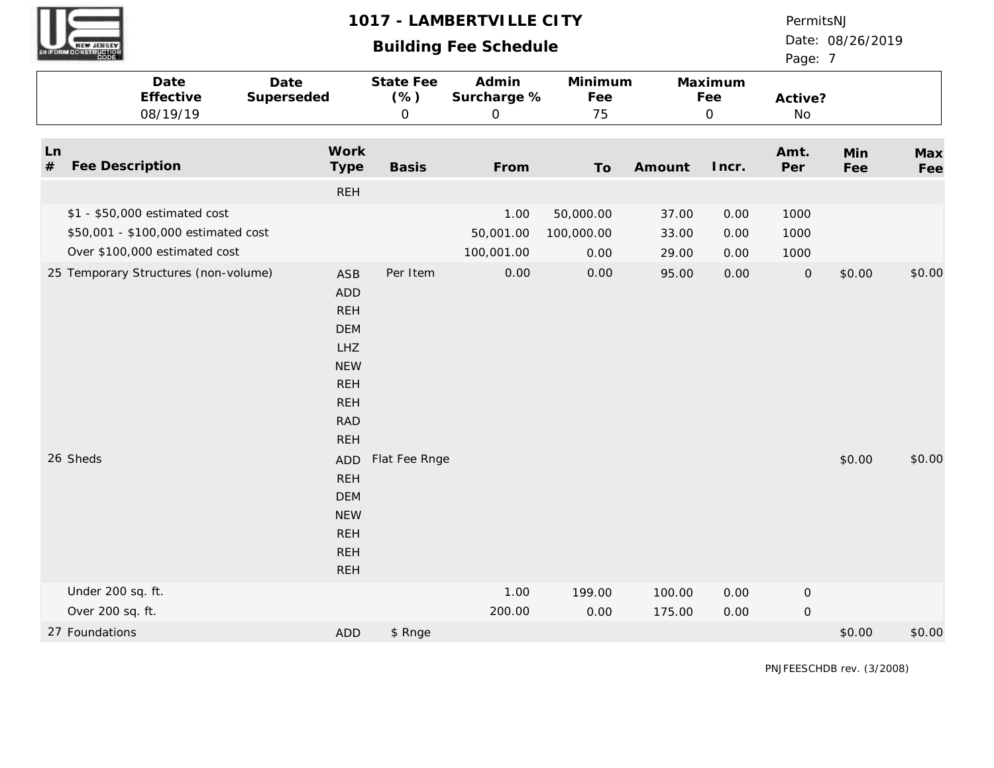# **Building Fee Schedule**

PermitsNJ

Date: 08/26/2019 Page: 7

|            | Date<br>Effective<br>08/19/19                                                                         | Date<br>Superseded                                                                                                                | State Fee<br>(% )<br>$\mathsf{O}$ | Admin<br>Surcharge %<br>$\mathbf{O}$ | Minimum<br>Fee<br>75            |                         | Maximum<br>Fee<br>$\overline{O}$ | Active?<br>No        |            |            |
|------------|-------------------------------------------------------------------------------------------------------|-----------------------------------------------------------------------------------------------------------------------------------|-----------------------------------|--------------------------------------|---------------------------------|-------------------------|----------------------------------|----------------------|------------|------------|
| Ln<br>$\#$ | Fee Description                                                                                       | Work<br>Type                                                                                                                      | <b>Basis</b>                      | From                                 | To                              | Amount                  | Incr.                            | Amt.<br>Per          | Min<br>Fee | Max<br>Fee |
|            |                                                                                                       | <b>REH</b>                                                                                                                        |                                   |                                      |                                 |                         |                                  |                      |            |            |
|            | \$1 - \$50,000 estimated cost<br>\$50,001 - \$100,000 estimated cost<br>Over \$100,000 estimated cost |                                                                                                                                   |                                   | 1.00<br>50,001.00<br>100,001.00      | 50,000.00<br>100,000.00<br>0.00 | 37.00<br>33.00<br>29.00 | 0.00<br>0.00<br>0.00             | 1000<br>1000<br>1000 |            |            |
|            | 25 Temporary Structures (non-volume)                                                                  | <b>ASB</b><br><b>ADD</b><br><b>REH</b><br><b>DEM</b><br>LHZ<br><b>NEW</b><br><b>REH</b><br><b>REH</b><br><b>RAD</b><br><b>REH</b> | Per Item                          | 0.00                                 | 0.00                            | 95.00                   | 0.00                             | ${\mathsf O}$        | \$0.00     | \$0.00     |
| 26 Sheds   |                                                                                                       | ADD<br><b>REH</b><br><b>DEM</b><br><b>NEW</b><br><b>REH</b><br><b>REH</b><br><b>REH</b>                                           | Flat Fee Rnge                     |                                      |                                 |                         |                                  |                      | \$0.00     | \$0.00     |
|            | Under 200 sq. ft.                                                                                     |                                                                                                                                   |                                   | 1.00                                 | 199.00                          | 100.00                  | 0.00                             | $\mathsf O$          |            |            |
|            | Over 200 sq. ft.                                                                                      |                                                                                                                                   |                                   | 200.00                               | 0.00                            | 175.00                  | 0.00                             | $\mathsf{O}\xspace$  |            |            |
|            | 27 Foundations                                                                                        | <b>ADD</b>                                                                                                                        | \$ Rnge                           |                                      |                                 |                         |                                  |                      | \$0.00     | \$0.00     |